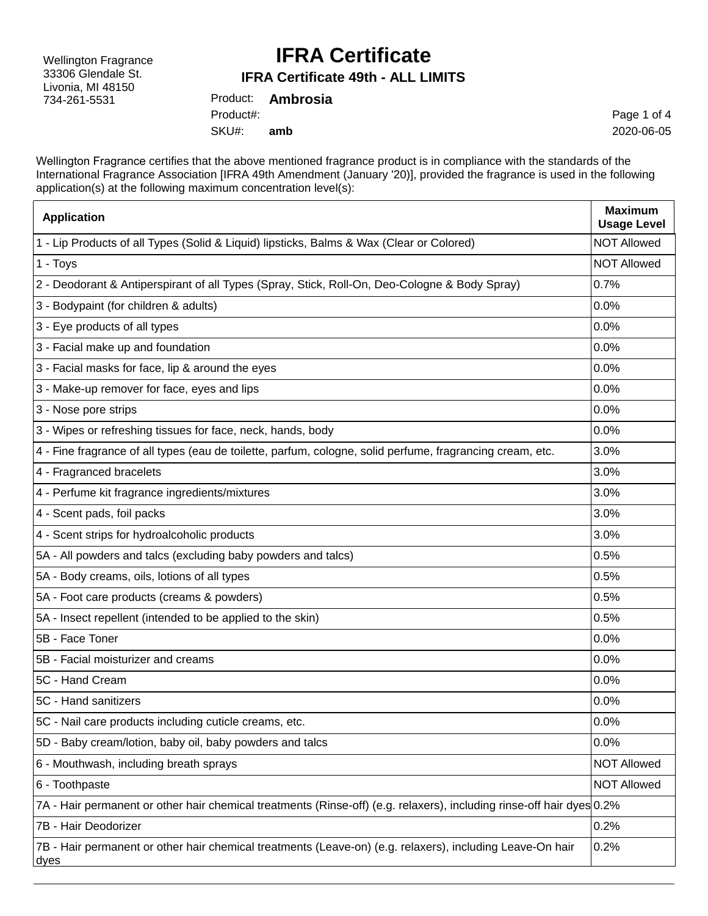Wellington Fragrance 33306 Glendale St. Livonia, MI 48150 734-261-5531

### **IFRA Certificate**

#### **IFRA Certificate 49th - ALL LIMITS**

Product: **Ambrosia** SKU#: Product#: **amb**

Page 1 of 4 2020-06-05

Wellington Fragrance certifies that the above mentioned fragrance product is in compliance with the standards of the International Fragrance Association [IFRA 49th Amendment (January '20)], provided the fragrance is used in the following application(s) at the following maximum concentration level(s):

| <b>Application</b>                                                                                                    | <b>Maximum</b><br><b>Usage Level</b> |
|-----------------------------------------------------------------------------------------------------------------------|--------------------------------------|
| 1 - Lip Products of all Types (Solid & Liquid) lipsticks, Balms & Wax (Clear or Colored)                              | <b>NOT Allowed</b>                   |
| 1 - Toys                                                                                                              | <b>NOT Allowed</b>                   |
| 2 - Deodorant & Antiperspirant of all Types (Spray, Stick, Roll-On, Deo-Cologne & Body Spray)                         | 0.7%                                 |
| 3 - Bodypaint (for children & adults)                                                                                 | 0.0%                                 |
| 3 - Eye products of all types                                                                                         | 0.0%                                 |
| 3 - Facial make up and foundation                                                                                     | 0.0%                                 |
| 3 - Facial masks for face, lip & around the eyes                                                                      | 0.0%                                 |
| 3 - Make-up remover for face, eyes and lips                                                                           | 0.0%                                 |
| 3 - Nose pore strips                                                                                                  | 0.0%                                 |
| 3 - Wipes or refreshing tissues for face, neck, hands, body                                                           | 0.0%                                 |
| 4 - Fine fragrance of all types (eau de toilette, parfum, cologne, solid perfume, fragrancing cream, etc.             | 3.0%                                 |
| 4 - Fragranced bracelets                                                                                              | 3.0%                                 |
| 4 - Perfume kit fragrance ingredients/mixtures                                                                        | 3.0%                                 |
| 4 - Scent pads, foil packs                                                                                            | 3.0%                                 |
| 4 - Scent strips for hydroalcoholic products                                                                          | 3.0%                                 |
| 5A - All powders and talcs (excluding baby powders and talcs)                                                         | 0.5%                                 |
| 5A - Body creams, oils, lotions of all types                                                                          | 0.5%                                 |
| 5A - Foot care products (creams & powders)                                                                            | 0.5%                                 |
| 5A - Insect repellent (intended to be applied to the skin)                                                            | 0.5%                                 |
| 5B - Face Toner                                                                                                       | 0.0%                                 |
| 5B - Facial moisturizer and creams                                                                                    | 0.0%                                 |
| 5C - Hand Cream                                                                                                       | 0.0%                                 |
| 5C - Hand sanitizers                                                                                                  | 0.0%                                 |
| 5C - Nail care products including cuticle creams, etc.                                                                | 0.0%                                 |
| 5D - Baby cream/lotion, baby oil, baby powders and talcs                                                              | 0.0%                                 |
| 6 - Mouthwash, including breath sprays                                                                                | <b>NOT Allowed</b>                   |
| 6 - Toothpaste                                                                                                        | <b>NOT Allowed</b>                   |
| 7A - Hair permanent or other hair chemical treatments (Rinse-off) (e.g. relaxers), including rinse-off hair dyes 0.2% |                                      |
| 7B - Hair Deodorizer                                                                                                  | 0.2%                                 |
| 7B - Hair permanent or other hair chemical treatments (Leave-on) (e.g. relaxers), including Leave-On hair<br>dyes     | 0.2%                                 |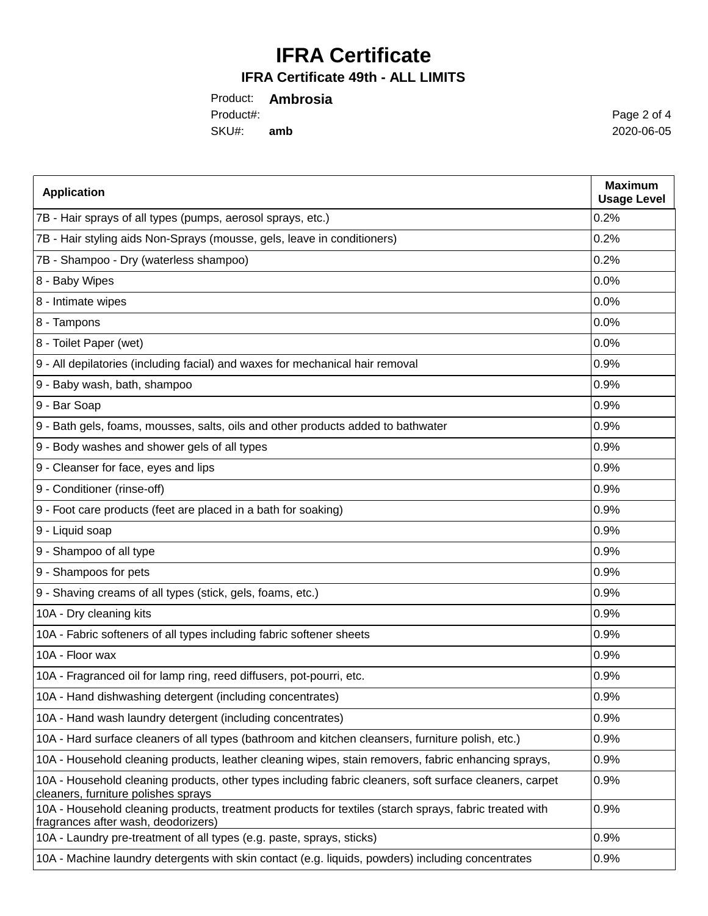## **IFRA Certificate**

### **IFRA Certificate 49th - ALL LIMITS**

Product: **Ambrosia** SKU#: **amb** Product#:

Page 2 of 4 2020-06-05

| <b>Application</b>                                                                                                                             | <b>Maximum</b><br><b>Usage Level</b> |
|------------------------------------------------------------------------------------------------------------------------------------------------|--------------------------------------|
| 7B - Hair sprays of all types (pumps, aerosol sprays, etc.)                                                                                    | 0.2%                                 |
| 7B - Hair styling aids Non-Sprays (mousse, gels, leave in conditioners)                                                                        | 0.2%                                 |
| 7B - Shampoo - Dry (waterless shampoo)                                                                                                         | 0.2%                                 |
| 8 - Baby Wipes                                                                                                                                 | 0.0%                                 |
| 8 - Intimate wipes                                                                                                                             | 0.0%                                 |
| 8 - Tampons                                                                                                                                    | 0.0%                                 |
| 8 - Toilet Paper (wet)                                                                                                                         | 0.0%                                 |
| 9 - All depilatories (including facial) and waxes for mechanical hair removal                                                                  | 0.9%                                 |
| 9 - Baby wash, bath, shampoo                                                                                                                   | 0.9%                                 |
| 9 - Bar Soap                                                                                                                                   | 0.9%                                 |
| 9 - Bath gels, foams, mousses, salts, oils and other products added to bathwater                                                               | 0.9%                                 |
| 9 - Body washes and shower gels of all types                                                                                                   | 0.9%                                 |
| 9 - Cleanser for face, eyes and lips                                                                                                           | 0.9%                                 |
| 9 - Conditioner (rinse-off)                                                                                                                    | 0.9%                                 |
| 9 - Foot care products (feet are placed in a bath for soaking)                                                                                 | 0.9%                                 |
| 9 - Liquid soap                                                                                                                                | 0.9%                                 |
| 9 - Shampoo of all type                                                                                                                        | 0.9%                                 |
| 9 - Shampoos for pets                                                                                                                          | 0.9%                                 |
| 9 - Shaving creams of all types (stick, gels, foams, etc.)                                                                                     | 0.9%                                 |
| 10A - Dry cleaning kits                                                                                                                        | 0.9%                                 |
| 10A - Fabric softeners of all types including fabric softener sheets                                                                           | 0.9%                                 |
| 10A - Floor wax                                                                                                                                | 0.9%                                 |
| 10A - Fragranced oil for lamp ring, reed diffusers, pot-pourri, etc.                                                                           | 0.9%                                 |
| 10A - Hand dishwashing detergent (including concentrates)                                                                                      | 0.9%                                 |
| 10A - Hand wash laundry detergent (including concentrates)                                                                                     | 0.9%                                 |
| 10A - Hard surface cleaners of all types (bathroom and kitchen cleansers, furniture polish, etc.)                                              | 0.9%                                 |
| 10A - Household cleaning products, leather cleaning wipes, stain removers, fabric enhancing sprays,                                            | 0.9%                                 |
| 10A - Household cleaning products, other types including fabric cleaners, soft surface cleaners, carpet<br>cleaners, furniture polishes sprays | 0.9%                                 |
| 10A - Household cleaning products, treatment products for textiles (starch sprays, fabric treated with<br>fragrances after wash, deodorizers)  | 0.9%                                 |
| 10A - Laundry pre-treatment of all types (e.g. paste, sprays, sticks)                                                                          | 0.9%                                 |
| 10A - Machine laundry detergents with skin contact (e.g. liquids, powders) including concentrates                                              | 0.9%                                 |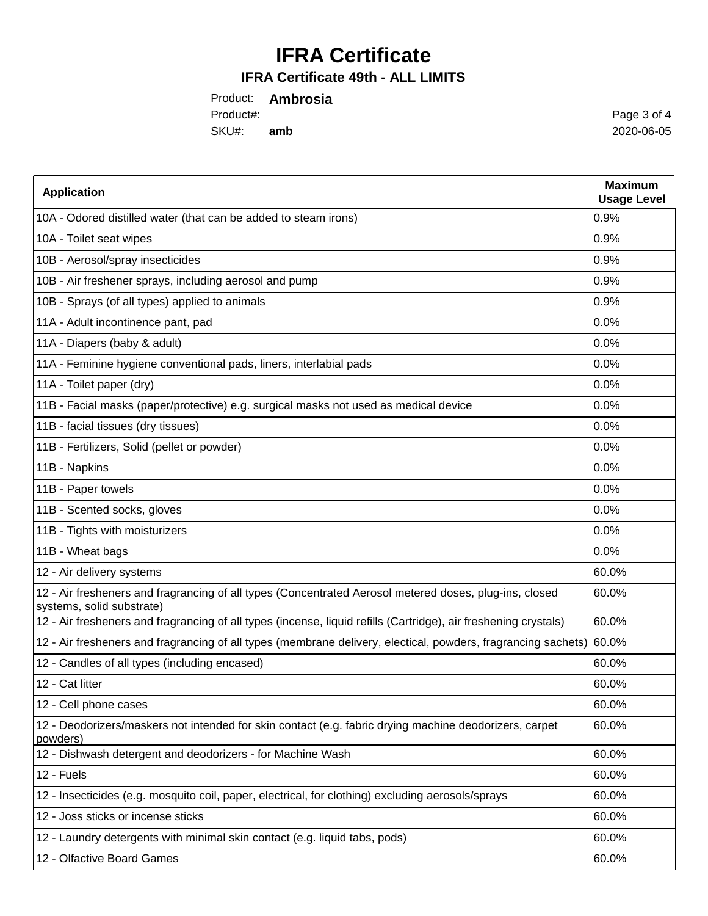# **IFRA Certificate**

#### **IFRA Certificate 49th - ALL LIMITS**

Product: **Ambrosia** SKU#: **amb** Product#:

Page 3 of 4 2020-06-05

| <b>Application</b>                                                                                                                  | <b>Maximum</b><br><b>Usage Level</b> |
|-------------------------------------------------------------------------------------------------------------------------------------|--------------------------------------|
| 10A - Odored distilled water (that can be added to steam irons)                                                                     | 0.9%                                 |
| 10A - Toilet seat wipes                                                                                                             | 0.9%                                 |
| 10B - Aerosol/spray insecticides                                                                                                    | 0.9%                                 |
| 10B - Air freshener sprays, including aerosol and pump                                                                              | 0.9%                                 |
| 10B - Sprays (of all types) applied to animals                                                                                      | 0.9%                                 |
| 11A - Adult incontinence pant, pad                                                                                                  | 0.0%                                 |
| 11A - Diapers (baby & adult)                                                                                                        | 0.0%                                 |
| 11A - Feminine hygiene conventional pads, liners, interlabial pads                                                                  | 0.0%                                 |
| 11A - Toilet paper (dry)                                                                                                            | 0.0%                                 |
| 11B - Facial masks (paper/protective) e.g. surgical masks not used as medical device                                                | 0.0%                                 |
| 11B - facial tissues (dry tissues)                                                                                                  | 0.0%                                 |
| 11B - Fertilizers, Solid (pellet or powder)                                                                                         | 0.0%                                 |
| 11B - Napkins                                                                                                                       | 0.0%                                 |
| 11B - Paper towels                                                                                                                  | 0.0%                                 |
| 11B - Scented socks, gloves                                                                                                         | 0.0%                                 |
| 11B - Tights with moisturizers                                                                                                      | 0.0%                                 |
| 11B - Wheat bags                                                                                                                    | 0.0%                                 |
| 12 - Air delivery systems                                                                                                           | 60.0%                                |
| 12 - Air fresheners and fragrancing of all types (Concentrated Aerosol metered doses, plug-ins, closed<br>systems, solid substrate) | 60.0%                                |
| 12 - Air fresheners and fragrancing of all types (incense, liquid refills (Cartridge), air freshening crystals)                     | 60.0%                                |
| 12 - Air fresheners and fragrancing of all types (membrane delivery, electical, powders, fragrancing sachets)                       | 60.0%                                |
| 12 - Candles of all types (including encased)                                                                                       | 60.0%                                |
| 12 - Cat litter                                                                                                                     | 60.0%                                |
| 12 - Cell phone cases                                                                                                               | 60.0%                                |
| 12 - Deodorizers/maskers not intended for skin contact (e.g. fabric drying machine deodorizers, carpet<br>powders)                  | 60.0%                                |
| 12 - Dishwash detergent and deodorizers - for Machine Wash                                                                          | 60.0%                                |
| 12 - Fuels                                                                                                                          | 60.0%                                |
| 12 - Insecticides (e.g. mosquito coil, paper, electrical, for clothing) excluding aerosols/sprays                                   | 60.0%                                |
| 12 - Joss sticks or incense sticks                                                                                                  | 60.0%                                |
| 12 - Laundry detergents with minimal skin contact (e.g. liquid tabs, pods)                                                          | 60.0%                                |
| 12 - Olfactive Board Games                                                                                                          | 60.0%                                |